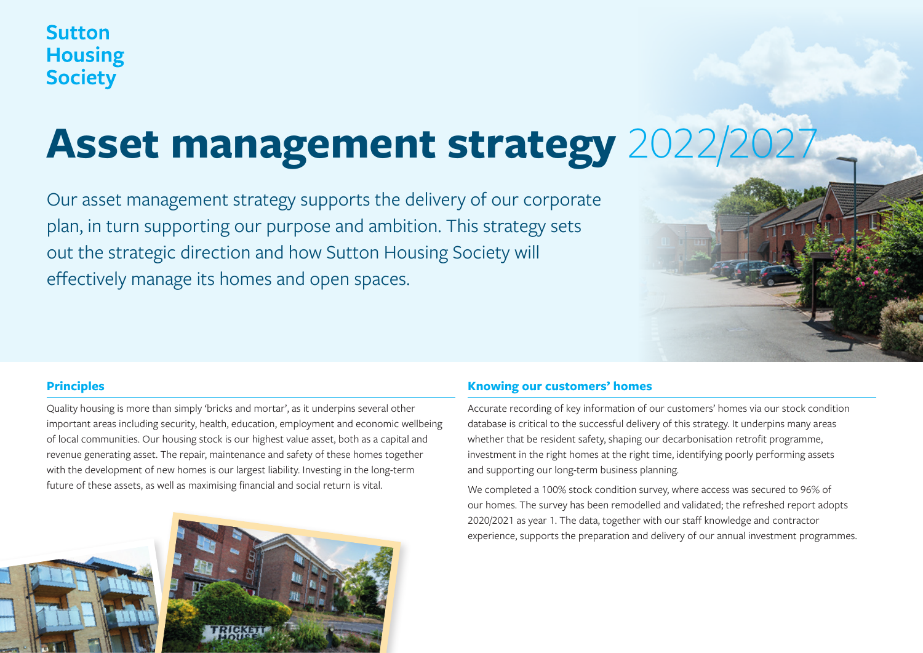# **Sutton Housing Society**

# **Asset management strategy 2022/**

Our asset management strategy supports the delivery of our corporate plan, in turn supporting our purpose and ambition. This strategy sets out the strategic direction and how Sutton Housing Society will effectively manage its homes and open spaces.



## **Principles**

Quality housing is more than simply 'bricks and mortar', as it underpins several other important areas including security, health, education, employment and economic wellbeing of local communities. Our housing stock is our highest value asset, both as a capital and revenue generating asset. The repair, maintenance and safety of these homes together with the development of new homes is our largest liability. Investing in the long-term future of these assets, as well as maximising financial and social return is vital.



## **Knowing our customers' homes**

Accurate recording of key information of our customers' homes via our stock condition database is critical to the successful delivery of this strategy. It underpins many areas whether that be resident safety, shaping our decarbonisation retrofit programme, investment in the right homes at the right time, identifying poorly performing assets and supporting our long-term business planning.

We completed a 100% stock condition survey, where access was secured to 96% of our homes. The survey has been remodelled and validated; the refreshed report adopts 2020/2021 as year 1. The data, together with our staff knowledge and contractor experience, supports the preparation and delivery of our annual investment programmes.